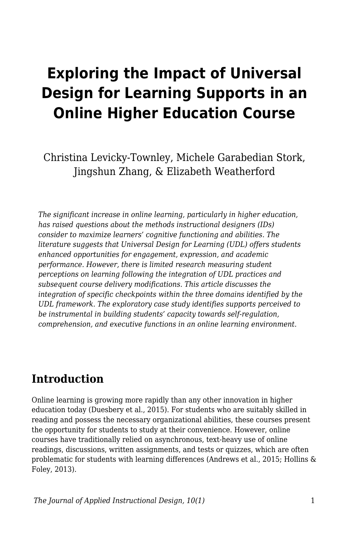# **Exploring the Impact of Universal Design for Learning Supports in an Online Higher Education Course**

Christina Levicky-Townley, Michele Garabedian Stork, Jingshun Zhang, & Elizabeth Weatherford

*The significant increase in online learning, particularly in higher education, has raised questions about the methods instructional designers (IDs) consider to maximize learners' cognitive functioning and abilities. The literature suggests that Universal Design for Learning (UDL) offers students enhanced opportunities for engagement, expression, and academic performance. However, there is limited research measuring student perceptions on learning following the integration of UDL practices and subsequent course delivery modifications. This article discusses the integration of specific checkpoints within the three domains identified by the UDL framework. The exploratory case study identifies supports perceived to be instrumental in building students' capacity towards self-regulation, comprehension, and executive functions in an online learning environment.*

### **Introduction**

Online learning is growing more rapidly than any other innovation in higher education today (Duesbery et al., 2015). For students who are suitably skilled in reading and possess the necessary organizational abilities, these courses present the opportunity for students to study at their convenience. However, online courses have traditionally relied on asynchronous, text-heavy use of online readings, discussions, written assignments, and tests or quizzes, which are often problematic for students with learning differences (Andrews et al., 2015; Hollins & Foley, 2013).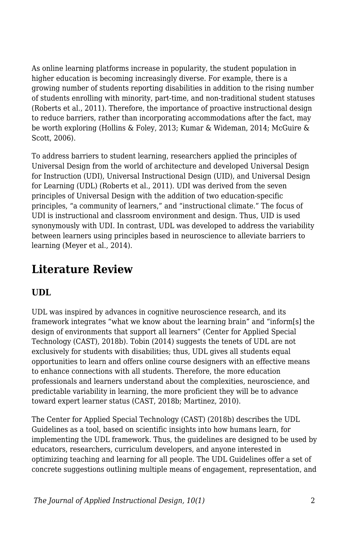As online learning platforms increase in popularity, the student population in higher education is becoming increasingly diverse. For example, there is a growing number of students reporting disabilities in addition to the rising number of students enrolling with minority, part-time, and non-traditional student statuses (Roberts et al., 2011). Therefore, the importance of proactive instructional design to reduce barriers, rather than incorporating accommodations after the fact, may be worth exploring (Hollins & Foley, 2013; Kumar & Wideman, 2014; McGuire & Scott, 2006).

To address barriers to student learning, researchers applied the principles of Universal Design from the world of architecture and developed Universal Design for Instruction (UDI), Universal Instructional Design (UID), and Universal Design for Learning (UDL) (Roberts et al., 2011). UDI was derived from the seven principles of Universal Design with the addition of two education-specific principles, "a community of learners," and "instructional climate." The focus of UDI is instructional and classroom environment and design. Thus, UID is used synonymously with UDI. In contrast, UDL was developed to address the variability between learners using principles based in neuroscience to alleviate barriers to learning (Meyer et al., 2014).

# **Literature Review**

#### **UDL**

UDL was inspired by advances in cognitive neuroscience research, and its framework integrates "what we know about the learning brain" and "inform[s] the design of environments that support all learners" (Center for Applied Special Technology (CAST), 2018b). Tobin (2014) suggests the tenets of UDL are not exclusively for students with disabilities; thus, UDL gives all students equal opportunities to learn and offers online course designers with an effective means to enhance connections with all students. Therefore, the more education professionals and learners understand about the complexities, neuroscience, and predictable variability in learning, the more proficient they will be to advance toward expert learner status (CAST, 2018b; Martinez, 2010).

The Center for Applied Special Technology (CAST) (2018b) describes the UDL Guidelines as a tool, based on scientific insights into how humans learn, for implementing the UDL framework. Thus, the guidelines are designed to be used by educators, researchers, curriculum developers, and anyone interested in optimizing teaching and learning for all people. The UDL Guidelines offer a set of concrete suggestions outlining multiple means of engagement, representation, and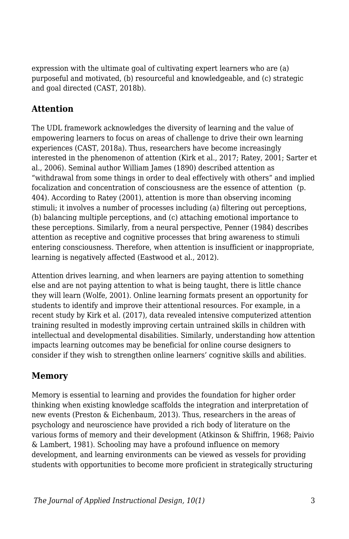expression with the ultimate goal of cultivating expert learners who are (a) purposeful and motivated, (b) resourceful and knowledgeable, and (c) strategic and goal directed (CAST, 2018b).

#### **Attention**

The UDL framework acknowledges the diversity of learning and the value of empowering learners to focus on areas of challenge to drive their own learning experiences (CAST, 2018a). Thus, researchers have become increasingly interested in the phenomenon of attention (Kirk et al., 2017; Ratey, 2001; Sarter et al., 2006). Seminal author William James (1890) described attention as "withdrawal from some things in order to deal effectively with others" and implied focalization and concentration of consciousness are the essence of attention (p. 404). According to Ratey (2001), attention is more than observing incoming stimuli; it involves a number of processes including (a) filtering out perceptions, (b) balancing multiple perceptions, and (c) attaching emotional importance to these perceptions. Similarly, from a neural perspective, Penner (1984) describes attention as receptive and cognitive processes that bring awareness to stimuli entering consciousness. Therefore, when attention is insufficient or inappropriate, learning is negatively affected (Eastwood et al., 2012).

Attention drives learning, and when learners are paying attention to something else and are not paying attention to what is being taught, there is little chance they will learn (Wolfe, 2001). Online learning formats present an opportunity for students to identify and improve their attentional resources. For example, in a recent study by Kirk et al. (2017), data revealed intensive computerized attention training resulted in modestly improving certain untrained skills in children with intellectual and developmental disabilities. Similarly, understanding how attention impacts learning outcomes may be beneficial for online course designers to consider if they wish to strengthen online learners' cognitive skills and abilities.

#### **Memory**

Memory is essential to learning and provides the foundation for higher order thinking when existing knowledge scaffolds the integration and interpretation of new events (Preston & Eichenbaum, 2013). Thus, researchers in the areas of psychology and neuroscience have provided a rich body of literature on the various forms of memory and their development (Atkinson & Shiffrin, 1968; Paivio & Lambert, 1981). Schooling may have a profound influence on memory development, and learning environments can be viewed as vessels for providing students with opportunities to become more proficient in strategically structuring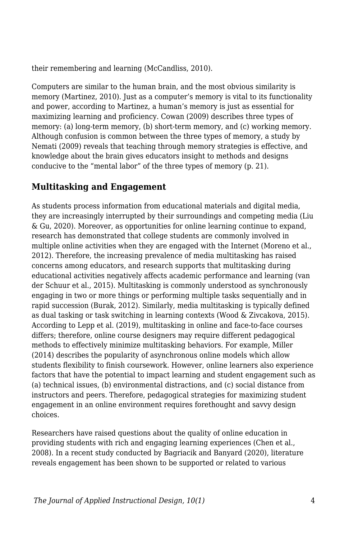their remembering and learning (McCandliss, 2010).

Computers are similar to the human brain, and the most obvious similarity is memory (Martinez, 2010). Just as a computer's memory is vital to its functionality and power, according to Martinez, a human's memory is just as essential for maximizing learning and proficiency. Cowan (2009) describes three types of memory: (a) long-term memory, (b) short-term memory, and (c) working memory. Although confusion is common between the three types of memory, a study by Nemati (2009) reveals that teaching through memory strategies is effective, and knowledge about the brain gives educators insight to methods and designs conducive to the "mental labor" of the three types of memory (p. 21).

#### **Multitasking and Engagement**

As students process information from educational materials and digital media, they are increasingly interrupted by their surroundings and competing media (Liu & Gu, 2020). Moreover, as opportunities for online learning continue to expand, research has demonstrated that college students are commonly involved in multiple online activities when they are engaged with the Internet (Moreno et al., 2012). Therefore, the increasing prevalence of media multitasking has raised concerns among educators, and research supports that multitasking during educational activities negatively affects academic performance and learning (van der Schuur et al., 2015). Multitasking is commonly understood as synchronously engaging in two or more things or performing multiple tasks sequentially and in rapid succession (Burak, 2012). Similarly, media multitasking is typically defined as dual tasking or task switching in learning contexts (Wood & Zivcakova, 2015). According to Lepp et al. (2019), multitasking in online and face-to-face courses differs; therefore, online course designers may require different pedagogical methods to effectively minimize multitasking behaviors. For example, Miller (2014) describes the popularity of asynchronous online models which allow students flexibility to finish coursework. However, online learners also experience factors that have the potential to impact learning and student engagement such as (a) technical issues, (b) environmental distractions, and (c) social distance from instructors and peers. Therefore, pedagogical strategies for maximizing student engagement in an online environment requires forethought and savvy design choices.

Researchers have raised questions about the quality of online education in providing students with rich and engaging learning experiences (Chen et al., 2008). In a recent study conducted by Bagriacik and Banyard (2020), literature reveals engagement has been shown to be supported or related to various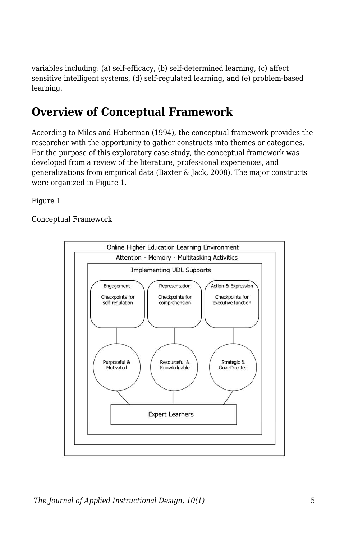variables including: (a) self-efficacy, (b) self-determined learning, (c) affect sensitive intelligent systems, (d) self-regulated learning, and (e) problem-based learning.

# **Overview of Conceptual Framework**

According to Miles and Huberman (1994), the conceptual framework provides the researcher with the opportunity to gather constructs into themes or categories. For the purpose of this exploratory case study, the conceptual framework was developed from a review of the literature, professional experiences, and generalizations from empirical data (Baxter & Jack, 2008). The major constructs were organized in Figure 1.

Figure 1

Conceptual Framework

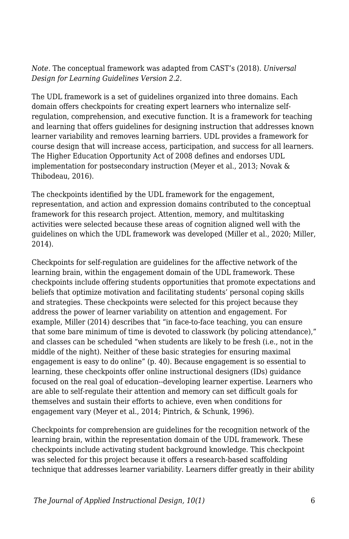*Note.* The conceptual framework was adapted from CAST's (2018). *Universal Design for Learning Guidelines Version 2.2*.

The UDL framework is a set of guidelines organized into three domains. Each domain offers checkpoints for creating expert learners who internalize selfregulation, comprehension, and executive function. It is a framework for teaching and learning that offers guidelines for designing instruction that addresses known learner variability and removes learning barriers. UDL provides a framework for course design that will increase access, participation, and success for all learners. The Higher Education Opportunity Act of 2008 defines and endorses UDL implementation for postsecondary instruction (Meyer et al., 2013; Novak & Thibodeau, 2016).

The checkpoints identified by the UDL framework for the engagement, representation, and action and expression domains contributed to the conceptual framework for this research project. Attention, memory, and multitasking activities were selected because these areas of cognition aligned well with the guidelines on which the UDL framework was developed (Miller et al., 2020; Miller, 2014).

Checkpoints for self-regulation are guidelines for the affective network of the learning brain, within the engagement domain of the UDL framework. These checkpoints include offering students opportunities that promote expectations and beliefs that optimize motivation and facilitating students' personal coping skills and strategies. These checkpoints were selected for this project because they address the power of learner variability on attention and engagement. For example, Miller (2014) describes that "in face-to-face teaching, you can ensure that some bare minimum of time is devoted to classwork (by policing attendance)," and classes can be scheduled "when students are likely to be fresh (i.e., not in the middle of the night). Neither of these basic strategies for ensuring maximal engagement is easy to do online" (p. 40). Because engagement is so essential to learning, these checkpoints offer online instructional designers (IDs) guidance focused on the real goal of education--developing learner expertise. Learners who are able to self-regulate their attention and memory can set difficult goals for themselves and sustain their efforts to achieve, even when conditions for engagement vary (Meyer et al., 2014; Pintrich, & Schunk, 1996).

Checkpoints for comprehension are guidelines for the recognition network of the learning brain, within the representation domain of the UDL framework. These checkpoints include activating student background knowledge. This checkpoint was selected for this project because it offers a research-based scaffolding technique that addresses learner variability. Learners differ greatly in their ability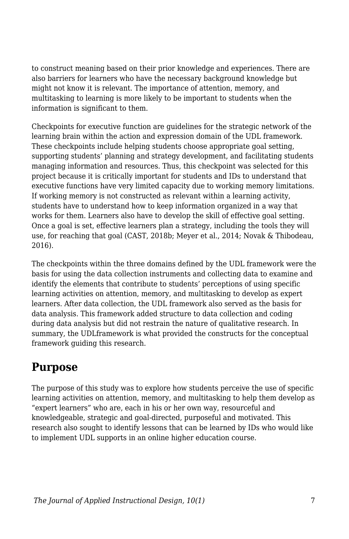to construct meaning based on their prior knowledge and experiences. There are also barriers for learners who have the necessary background knowledge but might not know it is relevant. The importance of attention, memory, and multitasking to learning is more likely to be important to students when the information is significant to them.

Checkpoints for executive function are guidelines for the strategic network of the learning brain within the action and expression domain of the UDL framework. These checkpoints include helping students choose appropriate goal setting, supporting students' planning and strategy development, and facilitating students managing information and resources. Thus, this checkpoint was selected for this project because it is critically important for students and IDs to understand that executive functions have very limited capacity due to working memory limitations. If working memory is not constructed as relevant within a learning activity, students have to understand how to keep information organized in a way that works for them. Learners also have to develop the skill of effective goal setting. Once a goal is set, effective learners plan a strategy, including the tools they will use, for reaching that goal (CAST, 2018b; Meyer et al., 2014; Novak & Thibodeau, 2016).

The checkpoints within the three domains defined by the UDL framework were the basis for using the data collection instruments and collecting data to examine and identify the elements that contribute to students' perceptions of using specific learning activities on attention, memory, and multitasking to develop as expert learners. After data collection, the UDL framework also served as the basis for data analysis. This framework added structure to data collection and coding during data analysis but did not restrain the nature of qualitative research. In summary, the UDLframework is what provided the constructs for the conceptual framework guiding this research.

# **Purpose**

The purpose of this study was to explore how students perceive the use of specific learning activities on attention, memory, and multitasking to help them develop as "expert learners" who are, each in his or her own way, resourceful and knowledgeable, strategic and goal-directed, purposeful and motivated. This research also sought to identify lessons that can be learned by IDs who would like to implement UDL supports in an online higher education course.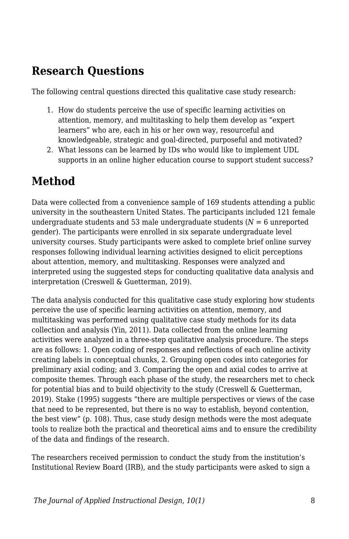### **Research Questions**

The following central questions directed this qualitative case study research:

- 1. How do students perceive the use of specific learning activities on attention, memory, and multitasking to help them develop as "expert learners" who are, each in his or her own way, resourceful and knowledgeable, strategic and goal-directed, purposeful and motivated?
- 2. What lessons can be learned by IDs who would like to implement UDL supports in an online higher education course to support student success?

# **Method**

Data were collected from a convenience sample of 169 students attending a public university in the southeastern United States. The participants included 121 female undergraduate students and 53 male undergraduate students  $(N = 6$  unreported gender). The participants were enrolled in six separate undergraduate level university courses. Study participants were asked to complete brief online survey responses following individual learning activities designed to elicit perceptions about attention, memory, and multitasking. Responses were analyzed and interpreted using the suggested steps for conducting qualitative data analysis and interpretation (Creswell & Guetterman, 2019).

The data analysis conducted for this qualitative case study exploring how students perceive the use of specific learning activities on attention, memory, and multitasking was performed using qualitative case study methods for its data collection and analysis (Yin, 2011). Data collected from the online learning activities were analyzed in a three-step qualitative analysis procedure. The steps are as follows: 1. Open coding of responses and reflections of each online activity creating labels in conceptual chunks, 2. Grouping open codes into categories for preliminary axial coding; and 3. Comparing the open and axial codes to arrive at composite themes. Through each phase of the study, the researchers met to check for potential bias and to build objectivity to the study (Creswell & Guetterman, 2019). Stake (1995) suggests "there are multiple perspectives or views of the case that need to be represented, but there is no way to establish, beyond contention, the best view" (p. 108). Thus, case study design methods were the most adequate tools to realize both the practical and theoretical aims and to ensure the credibility of the data and findings of the research.

The researchers received permission to conduct the study from the institution's Institutional Review Board (IRB), and the study participants were asked to sign a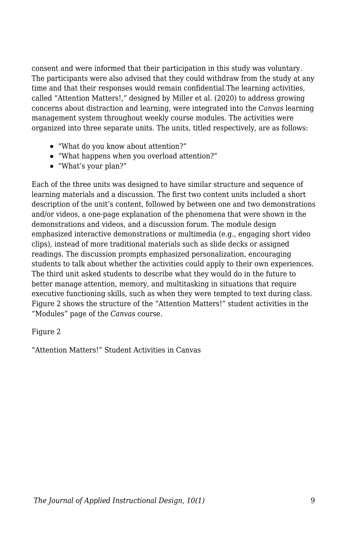consent and were informed that their participation in this study was voluntary. The participants were also advised that they could withdraw from the study at any time and that their responses would remain confidential.The learning activities, called "Attention Matters!," designed by Miller et al. (2020) to address growing concerns about distraction and learning, were integrated into the *Canvas* learning management system throughout weekly course modules. The activities were organized into three separate units. The units, titled respectively, are as follows:

- "What do you know about attention?"
- "What happens when you overload attention?"
- "What's your plan?"

Each of the three units was designed to have similar structure and sequence of learning materials and a discussion. The first two content units included a short description of the unit's content, followed by between one and two demonstrations and/or videos, a one-page explanation of the phenomena that were shown in the demonstrations and videos, and a discussion forum. The module design emphasized interactive demonstrations or multimedia (e.g., engaging short video clips), instead of more traditional materials such as slide decks or assigned readings. The discussion prompts emphasized personalization, encouraging students to talk about whether the activities could apply to their own experiences. The third unit asked students to describe what they would do in the future to better manage attention, memory, and multitasking in situations that require executive functioning skills, such as when they were tempted to text during class. Figure 2 shows the structure of the "Attention Matters!" student activities in the "Modules" page of the *Canvas* course.

Figure 2

"Attention Matters!" Student Activities in Canvas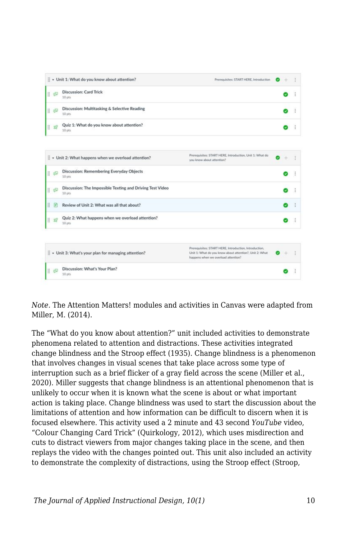

*Note.* The Attention Matters! modules and activities in Canvas were adapted from Miller, M. (2014).

The "What do you know about attention?" unit included activities to demonstrate phenomena related to attention and distractions. These activities integrated change blindness and the Stroop effect (1935). Change blindness is a phenomenon that involves changes in visual scenes that take place across some type of interruption such as a brief flicker of a gray field across the scene (Miller et al., 2020). Miller suggests that change blindness is an attentional phenomenon that is unlikely to occur when it is known what the scene is about or what important action is taking place. Change blindness was used to start the discussion about the limitations of attention and how information can be difficult to discern when it is focused elsewhere. This activity used a 2 minute and 43 second *YouTube* video, "Colour Changing Card Trick" (Quirkology, 2012), which uses misdirection and cuts to distract viewers from major changes taking place in the scene, and then replays the video with the changes pointed out. This unit also included an activity to demonstrate the complexity of distractions, using the Stroop effect (Stroop,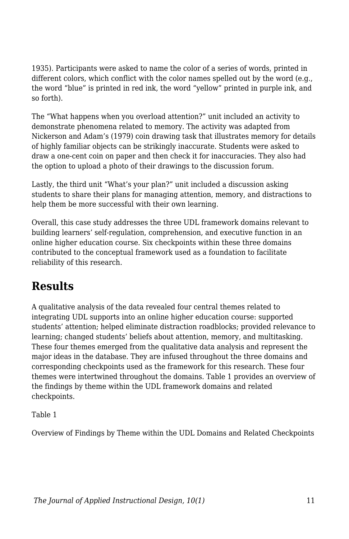1935). Participants were asked to name the color of a series of words, printed in different colors, which conflict with the color names spelled out by the word (e.g., the word "blue" is printed in red ink, the word "yellow" printed in purple ink, and so forth).

The "What happens when you overload attention?" unit included an activity to demonstrate phenomena related to memory. The activity was adapted from Nickerson and Adam's (1979) coin drawing task that illustrates memory for details of highly familiar objects can be strikingly inaccurate. Students were asked to draw a one-cent coin on paper and then check it for inaccuracies. They also had the option to upload a photo of their drawings to the discussion forum.

Lastly, the third unit "What's your plan?" unit included a discussion asking students to share their plans for managing attention, memory, and distractions to help them be more successful with their own learning.

Overall, this case study addresses the three UDL framework domains relevant to building learners' self-regulation, comprehension, and executive function in an online higher education course. Six checkpoints within these three domains contributed to the conceptual framework used as a foundation to facilitate reliability of this research.

# **Results**

A qualitative analysis of the data revealed four central themes related to integrating UDL supports into an online higher education course: supported students' attention; helped eliminate distraction roadblocks; provided relevance to learning; changed students' beliefs about attention, memory, and multitasking. These four themes emerged from the qualitative data analysis and represent the major ideas in the database. They are infused throughout the three domains and corresponding checkpoints used as the framework for this research. These four themes were intertwined throughout the domains. Table 1 provides an overview of the findings by theme within the UDL framework domains and related checkpoints.

Table 1

Overview of Findings by Theme within the UDL Domains and Related Checkpoints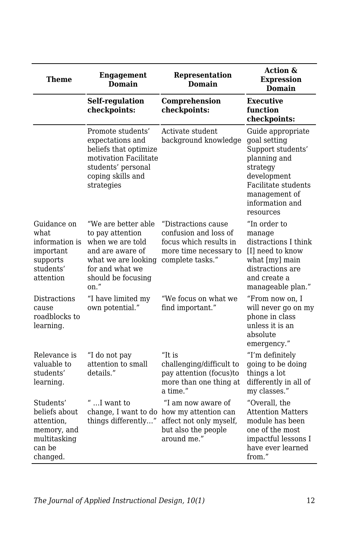| Theme                                                                                         | <b>Engagement</b><br><b>Domain</b>                                                                                                                      | Representation<br><b>Domain</b>                                                                                                  | <b>Action &amp;</b><br><b>Expression</b><br>Domain                                                                                                                        |
|-----------------------------------------------------------------------------------------------|---------------------------------------------------------------------------------------------------------------------------------------------------------|----------------------------------------------------------------------------------------------------------------------------------|---------------------------------------------------------------------------------------------------------------------------------------------------------------------------|
|                                                                                               | <b>Self-regulation</b><br>checkpoints:                                                                                                                  | Comprehension<br>checkpoints:                                                                                                    | <b>Executive</b><br>function<br>checkpoints:                                                                                                                              |
|                                                                                               | Promote students'<br>expectations and<br>beliefs that optimize<br>motivation Facilitate<br>students' personal<br>coping skills and<br>strategies        | Activate student<br>background knowledge                                                                                         | Guide appropriate<br>goal setting<br>Support students'<br>planning and<br>strategy<br>development<br>Facilitate students<br>management of<br>information and<br>resources |
| Guidance on<br>what.<br>information is<br>important<br>supports<br>students'<br>attention     | "We are better able<br>to pay attention<br>when we are told<br>and are aware of<br>what we are looking<br>for and what we<br>should be focusing<br>on." | "Distractions cause"<br>confusion and loss of<br>focus which results in<br>more time necessary to<br>complete tasks."            | "In order to<br>manage<br>distractions I think<br>[I] need to know<br>what [my] main<br>distractions are<br>and create a<br>manageable plan."                             |
| Distractions<br>cause<br>roadblocks to<br>learning.                                           | "I have limited my<br>own potential."                                                                                                                   | "We focus on what we<br>find important."                                                                                         | "From now on, I<br>will never go on my<br>phone in class<br>unless it is an<br>absolute<br>emergency."                                                                    |
| Relevance is<br>valuable to<br>students'<br>learning.                                         | "I do not pay<br>attention to small<br>details."                                                                                                        | "It is<br>challenging/difficult to<br>pay attention (focus)to<br>more than one thing at<br>a time."                              | "I'm definitely<br>going to be doing<br>things a lot<br>differently in all of<br>my classes."                                                                             |
| Students'<br>beliefs about<br>attention,<br>memory, and<br>multitasking<br>can be<br>changed. | " $\ldots$ I want to<br>things differently"                                                                                                             | "I am now aware of<br>change, I want to do how my attention can<br>affect not only myself,<br>but also the people<br>around me." | "Overall, the<br><b>Attention Matters</b><br>module has been<br>one of the most<br>impactful lessons I<br>have ever learned<br>from."                                     |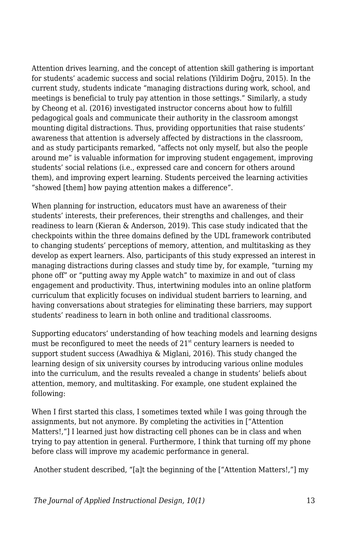Attention drives learning, and the concept of attention skill gathering is important for students' academic success and social relations (Yildirim Doğru, 2015). In the current study, students indicate "managing distractions during work, school, and meetings is beneficial to truly pay attention in those settings." Similarly, a study by Cheong et al. (2016) investigated instructor concerns about how to fulfill pedagogical goals and communicate their authority in the classroom amongst mounting digital distractions. Thus, providing opportunities that raise students' awareness that attention is adversely affected by distractions in the classroom, and as study participants remarked, "affects not only myself, but also the people around me" is valuable information for improving student engagement, improving students' social relations (i.e., expressed care and concern for others around them), and improving expert learning. Students perceived the learning activities "showed [them] how paying attention makes a difference".

When planning for instruction, educators must have an awareness of their students' interests, their preferences, their strengths and challenges, and their readiness to learn (Kieran & Anderson, 2019). This case study indicated that the checkpoints within the three domains defined by the UDL framework contributed to changing students' perceptions of memory, attention, and multitasking as they develop as expert learners. Also, participants of this study expressed an interest in managing distractions during classes and study time by, for example, "turning my phone off" or "putting away my Apple watch" to maximize in and out of class engagement and productivity. Thus, intertwining modules into an online platform curriculum that explicitly focuses on individual student barriers to learning, and having conversations about strategies for eliminating these barriers, may support students' readiness to learn in both online and traditional classrooms.

Supporting educators' understanding of how teaching models and learning designs must be reconfigured to meet the needs of  $21<sup>st</sup>$  century learners is needed to support student success (Awadhiya & Miglani, 2016). This study changed the learning design of six university courses by introducing various online modules into the curriculum, and the results revealed a change in students' beliefs about attention, memory, and multitasking. For example, one student explained the following:

When I first started this class, I sometimes texted while I was going through the assignments, but not anymore. By completing the activities in ["Attention Matters!,"] I learned just how distracting cell phones can be in class and when trying to pay attention in general. Furthermore, I think that turning off my phone before class will improve my academic performance in general.

Another student described, "[a]t the beginning of the ["Attention Matters!,"] my

*The Journal of Applied Instructional Design, 10(1)* 13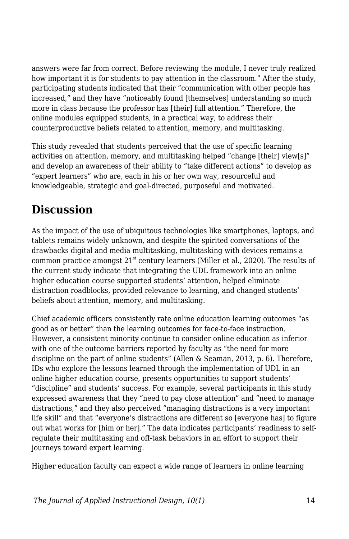answers were far from correct. Before reviewing the module, I never truly realized how important it is for students to pay attention in the classroom." After the study, participating students indicated that their "communication with other people has increased," and they have "noticeably found [themselves] understanding so much more in class because the professor has [their] full attention." Therefore, the online modules equipped students, in a practical way, to address their counterproductive beliefs related to attention, memory, and multitasking.

This study revealed that students perceived that the use of specific learning activities on attention, memory, and multitasking helped "change [their] view[s]" and develop an awareness of their ability to "take different actions" to develop as "expert learners" who are, each in his or her own way, resourceful and knowledgeable, strategic and goal-directed, purposeful and motivated.

### **Discussion**

As the impact of the use of ubiquitous technologies like smartphones, laptops, and tablets remains widely unknown, and despite the spirited conversations of the drawbacks digital and media multitasking, multitasking with devices remains a common practice amongst  $21^{st}$  century learners (Miller et al., 2020). The results of the current study indicate that integrating the UDL framework into an online higher education course supported students' attention, helped eliminate distraction roadblocks, provided relevance to learning, and changed students' beliefs about attention, memory, and multitasking.

Chief academic officers consistently rate online education learning outcomes "as good as or better" than the learning outcomes for face-to-face instruction. However, a consistent minority continue to consider online education as inferior with one of the outcome barriers reported by faculty as "the need for more discipline on the part of online students" (Allen & Seaman, 2013, p. 6). Therefore, IDs who explore the lessons learned through the implementation of UDL in an online higher education course, presents opportunities to support students' "discipline" and students' success. For example, several participants in this study expressed awareness that they "need to pay close attention" and "need to manage distractions," and they also perceived "managing distractions is a very important life skill" and that "everyone's distractions are different so [everyone has] to figure out what works for [him or her]." The data indicates participants' readiness to selfregulate their multitasking and off-task behaviors in an effort to support their journeys toward expert learning.

Higher education faculty can expect a wide range of learners in online learning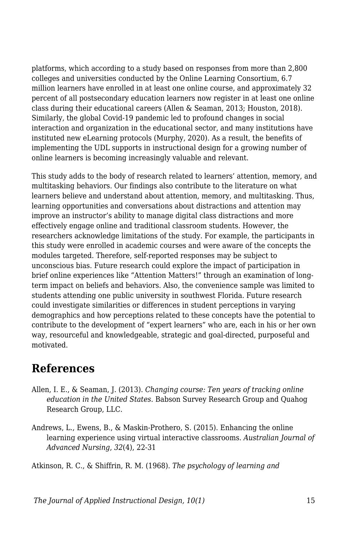platforms, which according to a study based on responses from more than 2,800 colleges and universities conducted by the Online Learning Consortium, 6.7 million learners have enrolled in at least one online course, and approximately 32 percent of all postsecondary education learners now register in at least one online class during their educational careers (Allen & Seaman, 2013; Houston, 2018). Similarly, the global Covid-19 pandemic led to profound changes in social interaction and organization in the educational sector, and many institutions have instituted new eLearning protocols (Murphy, 2020). As a result, the benefits of implementing the UDL supports in instructional design for a growing number of online learners is becoming increasingly valuable and relevant.

This study adds to the body of research related to learners' attention, memory, and multitasking behaviors. Our findings also contribute to the literature on what learners believe and understand about attention, memory, and multitasking. Thus, learning opportunities and conversations about distractions and attention may improve an instructor's ability to manage digital class distractions and more effectively engage online and traditional classroom students. However, the researchers acknowledge limitations of the study. For example, the participants in this study were enrolled in academic courses and were aware of the concepts the modules targeted. Therefore, self-reported responses may be subject to unconscious bias. Future research could explore the impact of participation in brief online experiences like "Attention Matters!" through an examination of longterm impact on beliefs and behaviors. Also, the convenience sample was limited to students attending one public university in southwest Florida. Future research could investigate similarities or differences in student perceptions in varying demographics and how perceptions related to these concepts have the potential to contribute to the development of "expert learners" who are, each in his or her own way, resourceful and knowledgeable, strategic and goal-directed, purposeful and motivated.

### **References**

- Allen, I. E., & Seaman, J. (2013). *Changing course: Ten years of tracking online education in the United States*. Babson Survey Research Group and Quahog Research Group, LLC.
- Andrews, L., Ewens, B., & Maskin-Prothero, S. (2015). Enhancing the online learning experience using virtual interactive classrooms. *Australian Journal of Advanced Nursing*, *32*(4), 22-31

Atkinson, R. C., & Shiffrin, R. M. (1968). *The psychology of learning and*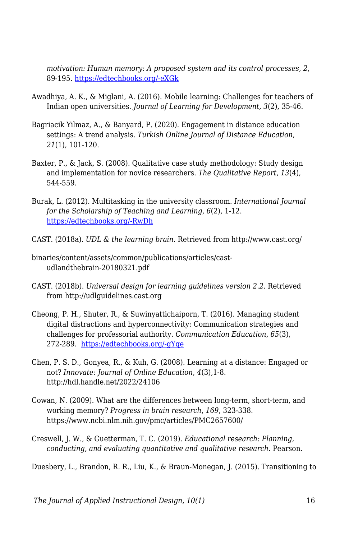*motivation: Human memory: A proposed system and its control processes, 2*, 89-195. [https://edtechbooks.org/-eXGk](https://doi.org/10.1016/S0079-7421(08)60422-3)

- Awadhiya, A. K., & Miglani, A. (2016). Mobile learning: Challenges for teachers of Indian open universities. *Journal of Learning for Development, 3*(2), 35-46.
- Bagriacik Yilmaz, A., & Banyard, P. (2020). Engagement in distance education settings: A trend analysis. *Turkish Online Journal of Distance Education*, *21*(1), 101-120.
- Baxter, P., & Jack, S. (2008). Qualitative case study methodology: Study design and implementation for novice researchers. *The Qualitative Report*, *13*(4), 544-559.
- Burak, L. (2012). Multitasking in the university classroom. *International Journal for the Scholarship of Teaching and Learning*, *6*(2), 1-12. [https://edtechbooks.org/-RwDh](https://doi.org/10.20429/ijsotl.2012.060208)
- CAST. (2018a). *UDL & the learning brain*. Retrieved from http://www.cast.org/
- binaries/content/assets/common/publications/articles/castudlandthebrain-20180321.pdf
- CAST. (2018b). *Universal design for learning guidelines version 2.2.* Retrieved from http://udlguidelines.cast.org
- Cheong, P. H., Shuter, R., & Suwinyattichaiporn, T. (2016). Managing student digital distractions and hyperconnectivity: Communication strategies and challenges for professorial authority. *Communication Education*, *65*(3), 272-289. [https://edtechbooks.org/-gYqe](https://doi.org/10.1080/03634523.2016.1159317)
- Chen, P. S. D., Gonyea, R., & Kuh, G. (2008). Learning at a distance: Engaged or not? *Innovate: Journal of Online Education*, *4*(3),1-8. http://hdl.handle.net/2022/24106
- Cowan, N. (2009). What are the differences between long-term, short-term, and working memory? *Progress in brain research*, *169*, 323-338. https://www.ncbi.nlm.nih.gov/pmc/articles/PMC2657600/
- Creswell, J. W., & Guetterman, T. C. (2019). *Educational research: Planning, conducting, and evaluating quantitative and qualitative research*. Pearson.

Duesbery, L., Brandon, R. R., Liu, K., & Braun-Monegan, J. (2015). Transitioning to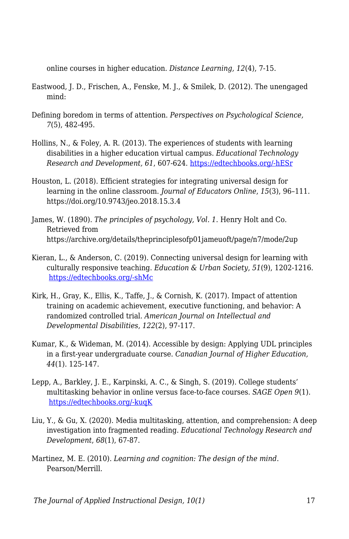online courses in higher education. *Distance Learning, 12*(4), 7-15.

- Eastwood, J. D., Frischen, A., Fenske, M. J., & Smilek, D. (2012). The unengaged mind:
- Defining boredom in terms of attention. *Perspectives on Psychological Science, 7*(5), 482-495.
- Hollins, N., & Foley, A. R. (2013). The experiences of students with learning disabilities in a higher education virtual campus. *Educational Technology Research and Development, 61*, 607-624. [https://edtechbooks.org/-hESr](https://doi.org/10.1007/s11423-013-9302-9)
- Houston, L. (2018). Efficient strategies for integrating universal design for learning in the online classroom. *Journal of Educators Online*, *15*(3), 96–111. https://doi.org/10.9743/jeo.2018.15.3.4
- James, W. (1890). *The principles of psychology, Vol. 1*. Henry Holt and Co. Retrieved from https://archive.org/details/theprinciplesofp01jameuoft/page/n7/mode/2up
- Kieran, L., & Anderson, C. (2019). Connecting universal design for learning with culturally responsive teaching. *Education & Urban Society*, *51*(9), 1202-1216. [https://edtechbooks.org/-shMc](https://doi.org/10.1177%2F0013124518785012)
- Kirk, H., Gray, K., Ellis, K., Taffe, J., & Cornish, K. (2017). Impact of attention training on academic achievement, executive functioning, and behavior: A randomized controlled trial. *American Journal on Intellectual and Developmental Disabilities*, *122*(2), 97-117.
- Kumar, K., & Wideman, M. (2014). Accessible by design: Applying UDL principles in a first-year undergraduate course. *Canadian Journal of Higher Education, 44*(1). 125-147.
- Lepp, A., Barkley, J. E., Karpinski, A. C., & Singh, S. (2019). College students' multitasking behavior in online versus face-to-face courses. *SAGE Open 9*(1). [https://edtechbooks.org/-kuqK](https://doi.org/10.1177%2F2158244018824505)
- Liu, Y., & Gu, X. (2020). Media multitasking, attention, and comprehension: A deep investigation into fragmented reading. *Educational Technology Research and Development*, *68*(1), 67-87.
- Martinez, M. E. (2010). *Learning and cognition: The design of the mind*. Pearson/Merrill.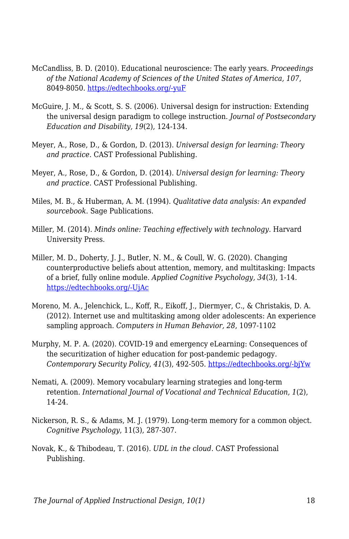- McCandliss, B. D. (2010). Educational neuroscience: The early years. *Proceedings of the National Academy of Sciences of the United States of America, 107*, 8049-8050. [https://edtechbooks.org/-yuF](https://doi.org/10.1073/pnas.1003431107)
- McGuire, J. M., & Scott, S. S. (2006). Universal design for instruction: Extending the universal design paradigm to college instruction. *Journal of Postsecondary Education and Disability, 19*(2), 124-134.
- Meyer, A., Rose, D., & Gordon, D. (2013). *Universal design for learning: Theory and practice.* CAST Professional Publishing.
- Meyer, A., Rose, D., & Gordon, D. (2014). *Universal design for learning: Theory and practice*. CAST Professional Publishing.
- Miles, M. B., & Huberman, A. M. (1994). *Qualitative data analysis: An expanded sourcebook*. Sage Publications.
- Miller, M. (2014). *Minds online: Teaching effectively with technology*. Harvard University Press.
- Miller, M. D., Doherty, J. J., Butler, N. M., & Coull, W. G. (2020). Changing counterproductive beliefs about attention, memory, and multitasking: Impacts of a brief, fully online module. *Applied Cognitive Psychology, 34*(3), 1-14*.* [https://edtechbooks.org/-UjAc](https://doi.org/10.1002/acp.3662)
- Moreno, M. A., Jelenchick, L., Koff, R., Eikoff, J., Diermyer, C., & Christakis, D. A. (2012). Internet use and multitasking among older adolescents: An experience sampling approach. *Computers in Human Behavior, 28*, 1097-1102
- Murphy, M. P. A. (2020). COVID-19 and emergency eLearning: Consequences of the securitization of higher education for post-pandemic pedagogy. *Contemporary Security Policy*, *41*(3), 492-505. [https://edtechbooks.org/-bjYw](https://doi.org/10.1080/13523260.2020.1761749)
- Nemati, A. (2009). Memory vocabulary learning strategies and long-term retention. *International Journal of Vocational and Technical Education, 1*(2), 14-24.
- Nickerson, R. S., & Adams, M. J. (1979). Long-term memory for a common object. *Cognitive Psychology*, 11(3), 287-307.
- Novak, K., & Thibodeau, T. (2016). *UDL in the cloud*. CAST Professional Publishing.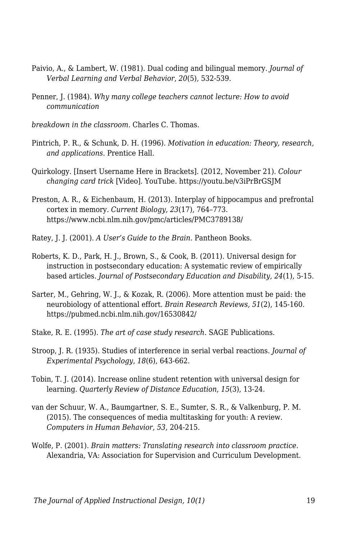- Paivio, A., & Lambert, W. (1981). Dual coding and bilingual memory. *Journal of Verbal Learning and Verbal Behavior*, *20*(5), 532-539.
- Penner, J. (1984). *Why many college teachers cannot lecture: How to avoid communication*
- *breakdown in the classroom.* Charles C. Thomas.
- Pintrich, P. R., & Schunk, D. H. (1996). *Motivation in education: Theory, research, and applications*. Prentice Hall.
- Quirkology. [Insert Username Here in Brackets]. (2012, November 21). *Colour changing card trick* [Video]. YouTube. https://youtu.be/v3iPrBrGSJM
- Preston, A. R., & Eichenbaum, H. (2013). Interplay of hippocampus and prefrontal cortex in memory. *Current Biology, 23*(17), 764–773. https://www.ncbi.nlm.nih.gov/pmc/articles/PMC3789138/
- Ratey, J. J. (2001). *A User's Guide to the Brain.* Pantheon Books.
- Roberts, K. D., Park, H. J., Brown, S., & Cook, B. (2011). Universal design for instruction in postsecondary education: A systematic review of empirically based articles. *Journal of Postsecondary Education and Disability, 24*(1), 5-15.
- Sarter, M., Gehring, W. J., & Kozak, R. (2006). More attention must be paid: the neurobiology of attentional effort. *Brain Research Reviews, 51*(2), 145-160. https://pubmed.ncbi.nlm.nih.gov/16530842/
- Stake, R. E. (1995). *The art of case study research*. SAGE Publications.
- Stroop, J. R. (1935). Studies of interference in serial verbal reactions. *Journal of Experimental Psychology*, *18*(6), 643-662.
- Tobin, T. J. (2014). Increase online student retention with universal design for learning. *Quarterly Review of Distance Education*, *15*(3), 13-24.
- van der Schuur, W. A., Baumgartner, S. E., Sumter, S. R., & Valkenburg, P. M. (2015). The consequences of media multitasking for youth: A review. *Computers in Human Behavior, 53*, 204-215.
- Wolfe, P. (2001). *Brain matters: Translating research into classroom practice*. Alexandria, VA: Association for Supervision and Curriculum Development.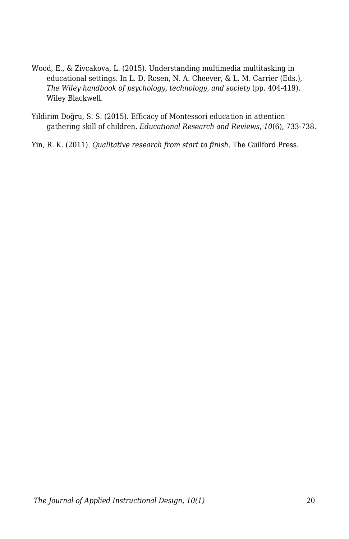- Wood, E., & Zivcakova, L. (2015). Understanding multimedia multitasking in educational settings. In L. D. Rosen, N. A. Cheever, & L. M. Carrier (Eds.), *The Wiley handbook of psychology, technology, and society* (pp. 404-419). Wiley Blackwell.
- Yildirim Doğru, S. S. (2015). Efficacy of Montessori education in attention gathering skill of children. *Educational Research and Reviews*, *10*(6), 733-738.
- Yin, R. K. (2011). *Qualitative research from start to finish*. The Guilford Press.